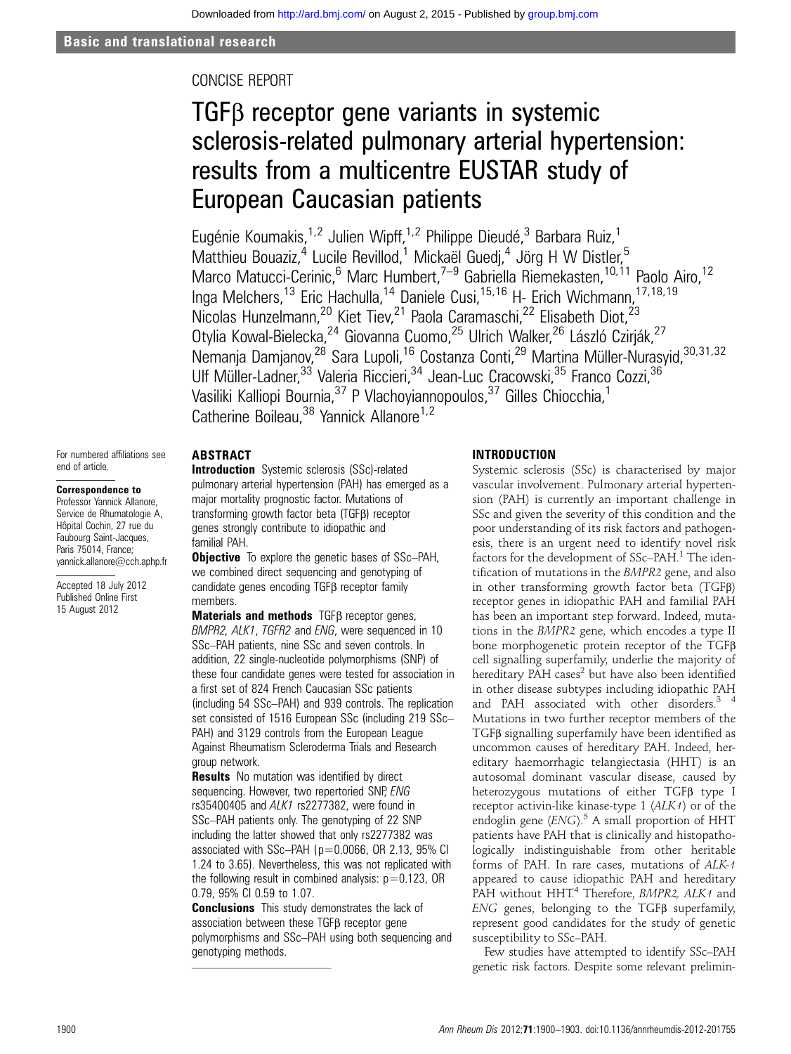## CONCISE REPORT

# TGFβ receptor gene variants in systemic sclerosis-related pulmonary arterial hypertension: results from a multicentre EUSTAR study of European Caucasian patients

Eugénie Koumakis,<sup>1,2</sup> Julien Wipff,<sup>1,2</sup> Philippe Dieudé,<sup>3</sup> Barbara Ruiz,<sup>1</sup> Matthieu Bouaziz,<sup>4</sup> Lucile Revillod,<sup>1</sup> Mickaël Guedi,<sup>4</sup> Jörg H W Distler,<sup>5</sup> Marco Matucci-Cerinic,<sup>6</sup> Marc Humbert,<sup>7–9</sup> Gabriella Riemekasten,<sup>10,11</sup> Paolo Airo,<sup>12</sup> Inga Melchers,<sup>13</sup> Eric Hachulla,<sup>14</sup> Daniele Cusi,<sup>15,16</sup> H- Erich Wichmann,<sup>17,18,19</sup> Nicolas Hunzelmann,<sup>20</sup> Kiet Tiev,<sup>21</sup> Paola Caramaschi,<sup>22</sup> Elisabeth Diot,<sup>23</sup> Otylia Kowal-Bielecka,<sup>24</sup> Giovanna Cuomo,<sup>25</sup> Ulrich Walker,<sup>26</sup> László Czirják,<sup>27</sup> Nemanja Damjanov,<sup>28</sup> Sara Lupoli,<sup>16</sup> Costanza Conti,<sup>29</sup> Martina Müller-Nurasyid,<sup>30,31,32</sup> Ulf Müller-Ladner,<sup>33</sup> Valeria Riccieri,<sup>34</sup> Jean-Luc Cracowski,<sup>35</sup> Franco Cozzi,<sup>36</sup> Vasiliki Kalliopi Bournia,<sup>37</sup> P Vlachoyiannopoulos,<sup>37</sup> Gilles Chiocchia,<sup>1</sup> Catherine Boileau, <sup>38</sup> Yannick Allanore<sup>1,2</sup>

#### For numbered affiliations see end of article.

## Correspondence to

Professor Yannick Allanore, Service de Rhumatologie A, Hôpital Cochin, 27 rue du Faubourg Saint-Jacques, Paris 75014, France; yannick.allanore@cch.aphp.fr

Accepted 18 July 2012 Published Online First 15 August 2012

## ABSTRACT

**Introduction** Systemic sclerosis (SSc)-related pulmonary arterial hypertension (PAH) has emerged as a major mortality prognostic factor. Mutations of transforming growth factor beta (TGFβ) receptor genes strongly contribute to idiopathic and familial PAH.

**Objective** To explore the genetic bases of SSc-PAH, we combined direct sequencing and genotyping of candidate genes encoding TGFβ receptor family members.

Materials and methods TGFβ receptor genes, BMPR2, ALK1, TGFR2 and ENG, were sequenced in 10 SSc–PAH patients, nine SSc and seven controls. In addition, 22 single-nucleotide polymorphisms (SNP) of these four candidate genes were tested for association in a first set of 824 French Caucasian SSc patients (including 54 SSc–PAH) and 939 controls. The replication set consisted of 1516 European SSc (including 219 SSc– PAH) and 3129 controls from the European League Against Rheumatism Scleroderma Trials and Research group network.

**Results** No mutation was identified by direct sequencing. However, two repertoried SNP, ENG rs35400405 and ALK1 rs2277382, were found in SSc–PAH patients only. The genotyping of 22 SNP including the latter showed that only rs2277382 was associated with  $SSc$ –PAH ( $p=0.0066$ , OR 2.13, 95% CI 1.24 to 3.65). Nevertheless, this was not replicated with the following result in combined analysis:  $p=0.123$ , OR 0.79, 95% CI 0.59 to 1.07.

**Conclusions** This study demonstrates the lack of association between these TGFβ receptor gene polymorphisms and SSc–PAH using both sequencing and genotyping methods.

## INTRODUCTION

Systemic sclerosis (SSc) is characterised by major vascular involvement. Pulmonary arterial hypertension (PAH) is currently an important challenge in SSc and given the severity of this condition and the poor understanding of its risk factors and pathogenesis, there is an urgent need to identify novel risk factors for the development of SSc–PAH.<sup>1</sup> The identification of mutations in the BMPR2 gene, and also in other transforming growth factor beta (TGFβ) receptor genes in idiopathic PAH and familial PAH has been an important step forward. Indeed, mutations in the BMPR2 gene, which encodes a type II bone morphogenetic protein receptor of the TGFβ cell signalling superfamily, underlie the majority of hereditary PAH cases $2$  but have also been identified in other disease subtypes including idiopathic PAH and PAH associated with other disorders.<sup>3</sup> <sup>4</sup> Mutations in two further receptor members of the TGFβ signalling superfamily have been identified as uncommon causes of hereditary PAH. Indeed, hereditary haemorrhagic telangiectasia (HHT) is an autosomal dominant vascular disease, caused by heterozygous mutations of either TGFβ type I receptor activin-like kinase-type 1 (ALK1) or of the endoglin gene  $(ENG)$ .<sup>5</sup> A small proportion of HHT patients have PAH that is clinically and histopathologically indistinguishable from other heritable forms of PAH. In rare cases, mutations of ALK-1 appeared to cause idiopathic PAH and hereditary PAH without HHT.<sup>4</sup> Therefore, BMPR2, ALK1 and ENG genes, belonging to the TGFβ superfamily, represent good candidates for the study of genetic susceptibility to SSc–PAH.

Few studies have attempted to identify SSc–PAH genetic risk factors. Despite some relevant prelimin-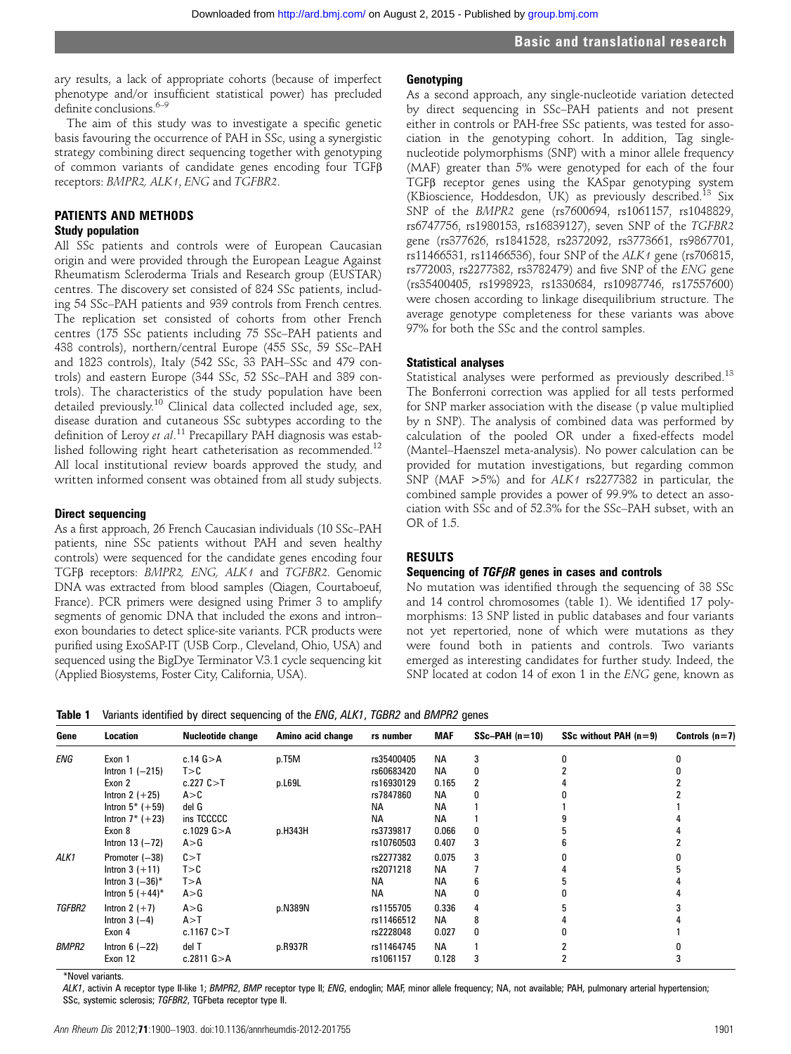ary results, a lack of appropriate cohorts (because of imperfect phenotype and/or insufficient statistical power) has precluded definite conclusions<sup>6–9</sup>

The aim of this study was to investigate a specific genetic basis favouring the occurrence of PAH in SSc, using a synergistic strategy combining direct sequencing together with genotyping of common variants of candidate genes encoding four TGFβ receptors: BMPR2, ALK1, ENG and TGFBR2.

## PATIENTS AND METHODS Study population

All SSc patients and controls were of European Caucasian origin and were provided through the European League Against Rheumatism Scleroderma Trials and Research group (EUSTAR) centres. The discovery set consisted of 824 SSc patients, including 54 SSc–PAH patients and 939 controls from French centres. The replication set consisted of cohorts from other French centres (175 SSc patients including 75 SSc–PAH patients and 438 controls), northern/central Europe (455 SSc, 59 SSc–PAH and 1823 controls), Italy (542 SSc, 33 PAH–SSc and 479 controls) and eastern Europe (344 SSc, 52 SSc–PAH and 389 controls). The characteristics of the study population have been detailed previously.<sup>10</sup> Clinical data collected included age, sex, disease duration and cutaneous SSc subtypes according to the definition of Leroy et al.<sup>11</sup> Precapillary PAH diagnosis was established following right heart catheterisation as recommended.12 All local institutional review boards approved the study, and written informed consent was obtained from all study subjects.

## Direct sequencing

As a first approach, 26 French Caucasian individuals (10 SSc–PAH patients, nine SSc patients without PAH and seven healthy controls) were sequenced for the candidate genes encoding four TGFβ receptors: BMPR2, ENG, ALK1 and TGFBR2. Genomic DNA was extracted from blood samples (Qiagen, Courtaboeuf, France). PCR primers were designed using Primer 3 to amplify segments of genomic DNA that included the exons and intron– exon boundaries to detect splice-site variants. PCR products were purified using ExoSAP-IT (USB Corp., Cleveland, Ohio, USA) and sequenced using the BigDye Terminator V.3.1 cycle sequencing kit (Applied Biosystems, Foster City, California, USA).

#### **Genotyping**

As a second approach, any single-nucleotide variation detected by direct sequencing in SSc–PAH patients and not present either in controls or PAH-free SSc patients, was tested for association in the genotyping cohort. In addition, Tag singlenucleotide polymorphisms (SNP) with a minor allele frequency (MAF) greater than 5% were genotyped for each of the four TGFβ receptor genes using the KASpar genotyping system (KBioscience, Hoddesdon, UK) as previously described.<sup>13</sup> Six SNP of the BMPR2 gene (rs7600694, rs1061157, rs1048829, rs6747756, rs1980153, rs16839127), seven SNP of the TGFBR2 gene (rs377626, rs1841528, rs2372092, rs3773661, rs9867701, rs11466531, rs11466536), four SNP of the ALK1 gene (rs706815, rs772003, rs2277382, rs3782479) and five SNP of the ENG gene (rs35400405, rs1998923, rs1330684, rs10987746, rs17557600) were chosen according to linkage disequilibrium structure. The average genotype completeness for these variants was above 97% for both the SSc and the control samples.

## Statistical analyses

Statistical analyses were performed as previously described.<sup>13</sup> The Bonferroni correction was applied for all tests performed for SNP marker association with the disease (p value multiplied by n SNP). The analysis of combined data was performed by calculation of the pooled OR under a fixed-effects model (Mantel–Haenszel meta-analysis). No power calculation can be provided for mutation investigations, but regarding common SNP (MAF  $>5\%$ ) and for ALK1 rs2277382 in particular, the combined sample provides a power of 99.9% to detect an association with SSc and of 52.3% for the SSc–PAH subset, with an OR of 1.5.

## RESULTS

#### Sequencing of TGFβR genes in cases and controls

No mutation was identified through the sequencing of 38 SSc and 14 control chromosomes (table 1). We identified 17 polymorphisms: 13 SNP listed in public databases and four variants not yet repertoried, none of which were mutations as they were found both in patients and controls. Two variants emerged as interesting candidates for further study. Indeed, the SNP located at codon 14 of exon 1 in the ENG gene, known as

Table 1 Variants identified by direct sequencing of the ENG, ALK1, TGBR2 and BMPR2 genes

| Gene         | Location            | <b>Nucleotide change</b> | Amino acid change | rs number  | <b>MAF</b> | $SSc-PAH(n=10)$ | SSc without PAH $(n=9)$ | Controls $(n=7)$ |
|--------------|---------------------|--------------------------|-------------------|------------|------------|-----------------|-------------------------|------------------|
| ENG          | Exon 1              | c.14 $G > A$             | p.T5M             | rs35400405 | <b>NA</b>  |                 |                         |                  |
|              | Intron $1$ $(-215)$ | T > C                    |                   | rs60683420 | <b>NA</b>  | 0               |                         |                  |
|              | Exon 2              | c.227C > T               | p.L69L            | rs16930129 | 0.165      |                 |                         |                  |
|              | Intron 2 $(+25)$    | A > C                    |                   | rs7847860  | <b>NA</b>  | N               |                         |                  |
|              | Intron $5^*$ (+59)  | del G                    |                   | <b>NA</b>  | <b>NA</b>  |                 |                         |                  |
|              | Intron $7^*$ (+23)  | ins TCCCCC               |                   | <b>NA</b>  | <b>NA</b>  |                 |                         |                  |
|              | Exon 8              | c.1029 $G > A$           | p.H343H           | rs3739817  | 0.066      | 0               |                         |                  |
|              | Intron $13$ $(-72)$ | A > G                    |                   | rs10760503 | 0.407      | 3               |                         |                  |
| ALK1         | Promoter (-38)      | C > T                    |                   | rs2277382  | 0.075      | 3               |                         |                  |
|              | Intron $3 (+11)$    | T > C                    |                   | rs2071218  | <b>NA</b>  |                 |                         |                  |
|              | Intron 3 $(-36)^*$  | T > A                    |                   | <b>NA</b>  | <b>NA</b>  | 6               |                         |                  |
|              | Intron 5 $(+44)^*$  | A > G                    |                   | <b>NA</b>  | <b>NA</b>  | 0               |                         |                  |
| TGFBR2       | Intron 2 $(+7)$     | A > G                    | p.N389N           | rs1155705  | 0.336      | 4               |                         |                  |
|              | Intron $3(-4)$      | A > T                    |                   | rs11466512 | <b>NA</b>  | 8               |                         |                  |
|              | Exon 4              | c.1167C > T              |                   | rs2228048  | 0.027      | 0               |                         |                  |
| <b>BMPR2</b> | Intron $6$ $(-22)$  | del T                    | p.R937R           | rs11464745 | <b>NA</b>  |                 |                         |                  |
|              | Exon 12             | c.2811 $G > A$           |                   | rs1061157  | 0.128      | 3               |                         |                  |

\*Novel variants.

ALK1, activin A receptor type II-like 1; BMPR2, BMP receptor type II; ENG, endoglin; MAF, minor allele frequency; NA, not available; PAH, pulmonary arterial hypertension; SSc, systemic sclerosis; TGFBR2, TGFbeta receptor type II.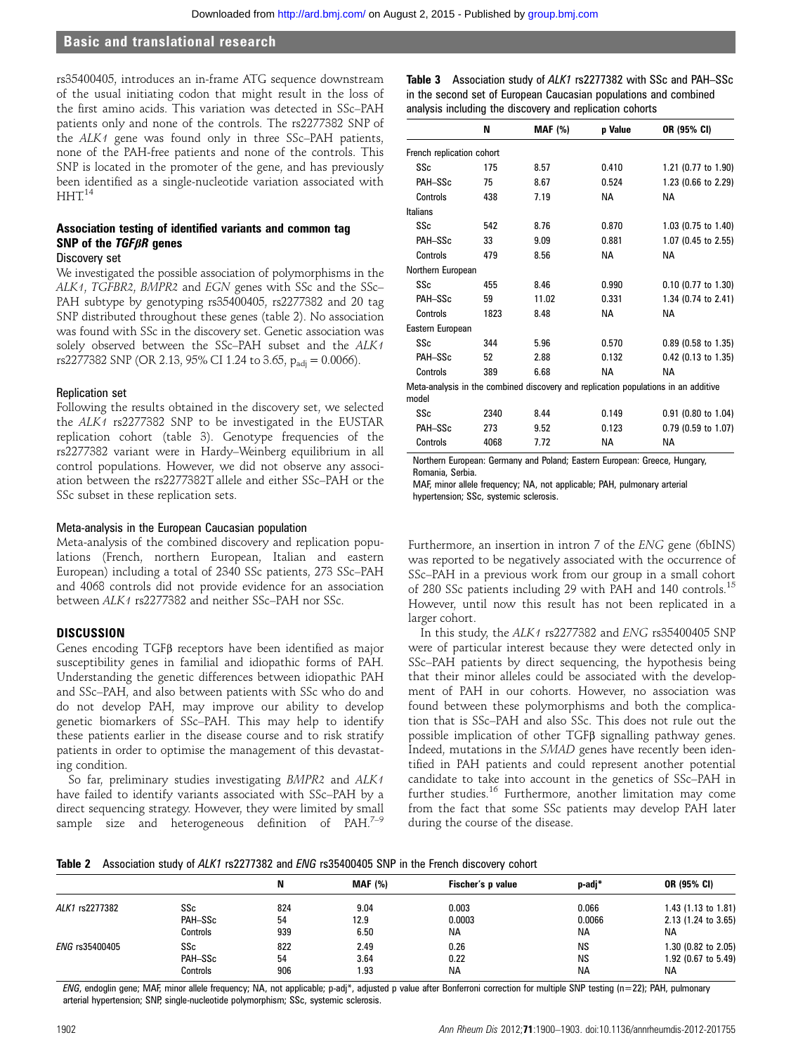## Basic and translational research

rs35400405, introduces an in-frame ATG sequence downstream of the usual initiating codon that might result in the loss of the first amino acids. This variation was detected in SSc–PAH patients only and none of the controls. The rs2277382 SNP of the ALK1 gene was found only in three SSc–PAH patients, none of the PAH-free patients and none of the controls. This SNP is located in the promoter of the gene, and has previously been identified as a single-nucleotide variation associated with  $HHT<sup>14</sup>$ 

## Association testing of identified variants and common tag SNP of the  $TGF\beta R$  genes

#### Discovery set

We investigated the possible association of polymorphisms in the ALK1, TGFBR2, BMPR2 and EGN genes with SSc and the SSc– PAH subtype by genotyping rs35400405, rs2277382 and 20 tag SNP distributed throughout these genes (table 2). No association was found with SSc in the discovery set. Genetic association was solely observed between the SSc–PAH subset and the ALK1 rs2277382 SNP (OR 2.13, 95% CI 1.24 to 3.65,  $p_{\text{adi}} = 0.0066$ ).

#### Replication set

Following the results obtained in the discovery set, we selected the ALK1 rs2277382 SNP to be investigated in the EUSTAR replication cohort (table 3). Genotype frequencies of the rs2277382 variant were in Hardy–Weinberg equilibrium in all control populations. However, we did not observe any association between the rs2277382T allele and either SSc–PAH or the SSc subset in these replication sets.

#### Meta-analysis in the European Caucasian population

Meta-analysis of the combined discovery and replication populations (French, northern European, Italian and eastern European) including a total of 2340 SSc patients, 273 SSc–PAH and 4068 controls did not provide evidence for an association between ALK1 rs2277382 and neither SSc–PAH nor SSc.

#### **DISCUSSION**

Genes encoding TGFβ receptors have been identified as major susceptibility genes in familial and idiopathic forms of PAH. Understanding the genetic differences between idiopathic PAH and SSc–PAH, and also between patients with SSc who do and do not develop PAH, may improve our ability to develop genetic biomarkers of SSc–PAH. This may help to identify these patients earlier in the disease course and to risk stratify patients in order to optimise the management of this devastating condition.

So far, preliminary studies investigating BMPR2 and ALK1 have failed to identify variants associated with SSc–PAH by a direct sequencing strategy. However, they were limited by small sample size and heterogeneous definition of  $PAH.<sup>7-9</sup>$ 

| <b>Table 3</b> Association study of ALK1 rs2277382 with SSc and PAH–SSc |  |  |
|-------------------------------------------------------------------------|--|--|
| in the second set of European Caucasian populations and combined        |  |  |
| analysis including the discovery and replication cohorts                |  |  |

|                           | N    | <b>MAF</b> (%) | p Value   | OR (95% CI)                                                                        |
|---------------------------|------|----------------|-----------|------------------------------------------------------------------------------------|
| French replication cohort |      |                |           |                                                                                    |
| SSc                       | 175  | 8.57           | 0.410     | 1.21 (0.77 to 1.90)                                                                |
| PAH-SSc                   | 75   | 8.67           | 0.524     | 1.23 (0.66 to 2.29)                                                                |
| Controls                  | 438  | 7.19           | NА        | NА                                                                                 |
| Italians                  |      |                |           |                                                                                    |
| SSc                       | 542  | 8.76           | 0.870     | 1.03 (0.75 to 1.40)                                                                |
| PAH-SSc                   | 33   | 9.09           | 0.881     | 1.07 (0.45 to 2.55)                                                                |
| Controls                  | 479  | 8.56           | <b>NA</b> | <b>NA</b>                                                                          |
| Northern European         |      |                |           |                                                                                    |
| SSc                       | 455  | 8.46           | 0.990     | $0.10$ (0.77 to 1.30)                                                              |
| PAH-SSc                   | 59   | 11.02          | 0.331     | 1.34 (0.74 to 2.41)                                                                |
| Controls                  | 1823 | 8.48           | NА        | NА                                                                                 |
| Eastern European          |      |                |           |                                                                                    |
| SSc                       | 344  | 5.96           | 0.570     | $0.89$ (0.58 to 1.35)                                                              |
| PAH-SSc                   | 52   | 2.88           | 0.132     | 0.42 (0.13 to 1.35)                                                                |
| Controls                  | 389  | 6.68           | <b>NA</b> | <b>NA</b>                                                                          |
| model                     |      |                |           | Meta-analysis in the combined discovery and replication populations in an additive |
| SSc                       | 2340 | 8.44           | 0.149     | $0.91$ (0.80 to 1.04)                                                              |
| PAH-SSc                   | 273  | 9.52           | 0.123     | $0.79$ (0.59 to 1.07)                                                              |
| Controls                  | 4068 | 7.72           | ΝA        | ΝA                                                                                 |

Northern European: Germany and Poland; Eastern European: Greece, Hungary, Romania, Serbia.

MAF, minor allele frequency; NA, not applicable; PAH, pulmonary arterial hypertension; SSc, systemic sclerosis.

Furthermore, an insertion in intron 7 of the ENG gene (6bINS) was reported to be negatively associated with the occurrence of SSc–PAH in a previous work from our group in a small cohort of 280 SSc patients including 29 with PAH and 140 controls.<sup>15</sup> However, until now this result has not been replicated in a larger cohort.

In this study, the ALK1 rs2277382 and ENG rs35400405 SNP were of particular interest because they were detected only in SSc–PAH patients by direct sequencing, the hypothesis being that their minor alleles could be associated with the development of PAH in our cohorts. However, no association was found between these polymorphisms and both the complication that is SSc–PAH and also SSc. This does not rule out the possible implication of other TGFβ signalling pathway genes. Indeed, mutations in the SMAD genes have recently been identified in PAH patients and could represent another potential candidate to take into account in the genetics of SSc–PAH in further studies.<sup>16</sup> Furthermore, another limitation may come from the fact that some SSc patients may develop PAH later during the course of the disease.

#### Table 2 Association study of ALK1 rs2277382 and ENG rs35400405 SNP in the French discovery cohort

|                |                | N   | <b>MAF (%)</b> | Fischer's p value | p-adj*    | OR (95% CI)         |
|----------------|----------------|-----|----------------|-------------------|-----------|---------------------|
| ALK1 rs2277382 | SSc            | 824 | 9.04           | 0.003             | 0.066     | 1.43 (1.13 to 1.81) |
|                | <b>PAH-SSc</b> | 54  | 12.9           | 0.0003            | 0.0066    | 2.13 (1.24 to 3.65) |
|                | Controls       | 939 | 6.50           | NA.               | <b>NA</b> | <b>NA</b>           |
| ENG rs35400405 | SSc            | 822 | 2.49           | 0.26              | <b>NS</b> | 1.30 (0.82 to 2.05) |
|                | PAH-SSc        | 54  | 3.64           | 0.22              | <b>NS</b> | 1.92 (0.67 to 5.49) |
|                | Controls       | 906 | 1.93           | <b>NA</b>         | <b>NA</b> | <b>NA</b>           |

ENG, endoglin gene; MAF, minor allele frequency; NA, not applicable; p-adj\*, adjusted p value after Bonferroni correction for multiple SNP testing (n=22); PAH, pulmonary arterial hypertension; SNP, single-nucleotide polymorphism; SSc, systemic sclerosis.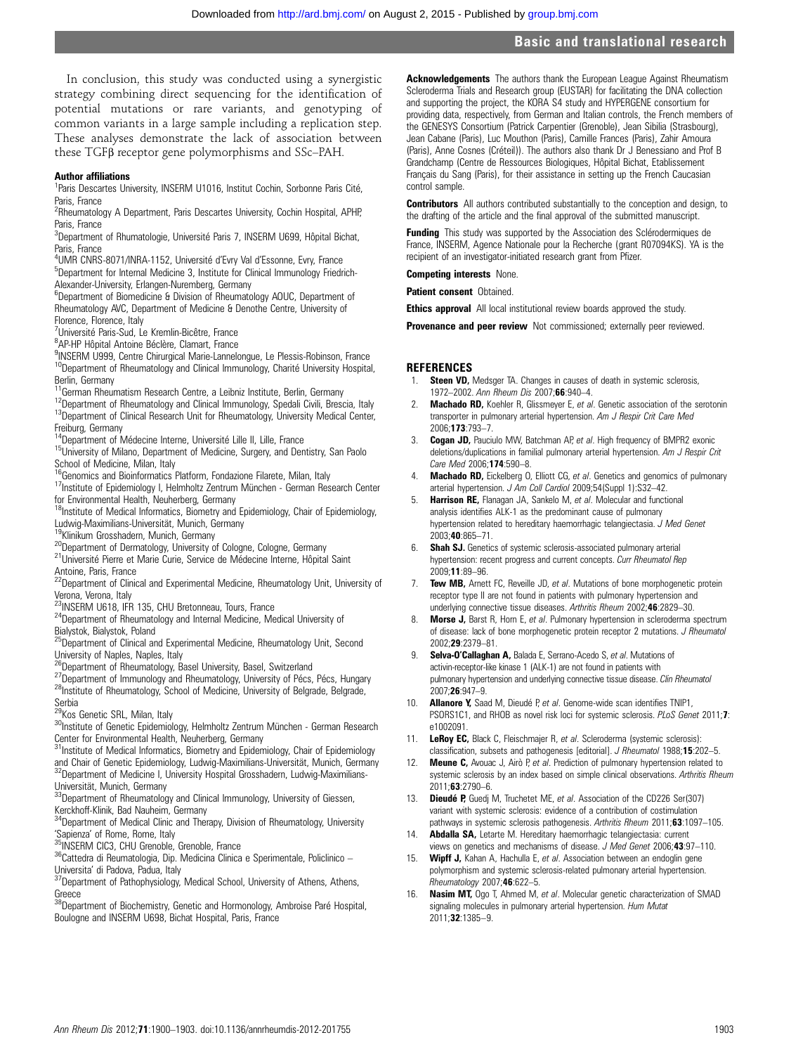## Basic and translational research

In conclusion, this study was conducted using a synergistic strategy combining direct sequencing for the identification of potential mutations or rare variants, and genotyping of common variants in a large sample including a replication step. These analyses demonstrate the lack of association between these TGFβ receptor gene polymorphisms and SSc–PAH.

#### Author affiliations <sup>1</sup>

<sup>1</sup>Paris Descartes University, INSERM U1016, Institut Cochin, Sorbonne Paris Cité, Paris, France

<sup>2</sup>Rheumatology A Department, Paris Descartes University, Cochin Hospital, APHP, Paris, France

<sup>3</sup>Department of Rhumatologie, Université Paris 7, INSERM U699, Hôpital Bichat, Paris, France

<sup>4</sup>UMR CNRS-8071/INRA-1152, Université d'Evry Val d'Essonne, Evry, France<br><sup>5</sup>Denartment for Internal Medicine 3, Institute for Clinical Immunology Friedl <sup>5</sup>Department for Internal Medicine 3, Institute for Clinical Immunology Friedrich-Alexander-University, Erlangen-Nuremberg, Germany

<sup>6</sup>Department of Biomedicine & Division of Rheumatology AOUC, Department of Rheumatology AVC, Department of Medicine & Denothe Centre, University of Florence, Florence, Italy

<sup>7</sup>Université Paris-Sud, Le Kremlin-Bicêtre, France

<sup>8</sup>AP-HP Hôpital Antoine Béclère, Clamart, France

9INSERM U999, Centre Chirurgical Marie-Lannelongue, Le Plessis-Robinson, France <sup>10</sup>Department of Rheumatology and Clinical Immunology, Charité University Hospital,

Berlin, Germany<br><sup>11</sup>German Rheumatism Research Centre, a Leibniz Institute, Berlin, Germany

<sup>12</sup>Department of Rheumatology and Clinical Immunology, Spedali Civili, Brescia, Italy<br><sup>13</sup>Department of Clinical Research Unit for Rheumatology, University Medical Center,

Freiburg, Germany<br><sup>14</sup>Department of Médecine Interne, Université Lille II, Lille, France

<sup>15</sup>University of Milano, Department of Medicine, Surgery, and Dentistry, San Paolo

School of Medicine, Milan, Italy<br><sup>16</sup>Genomics and Bioinformatics Platform, Fondazione Filarete, Milan, Italy

17 Institute of Epidemiology I, Helmholtz Zentrum München - German Research Center for Environmental Health, Neuherberg, Germany

18Institute of Medical Informatics, Biometry and Epidemiology, Chair of Epidemiology, Ludwig-Maximilians-Universität, Munich, Germany<br><sup>19</sup>Klinikum Grosshadem, Munich, Germany

<sup>20</sup>Department of Dermatology, University of Cologne, Cologne, Germany<br><sup>21</sup>Université Pierre et Marie Curie, Service de Médecine Interne, Hôpital Saint

Antoine, Paris, France<br><sup>22</sup>Department of Clinical and Experimental Medicine, Rheumatology Unit, University of Verona, Verona, Italy<br><sup>23</sup>INSERM U618, IFR 135, CHU Bretonneau, Tours, France

<sup>24</sup>Department of Rheumatology and Internal Medicine, Medical University of Bialystok, Bialystok, Poland

<sup>25</sup>Department of Clinical and Experimental Medicine, Rheumatology Unit, Second University of Naples, Naples, Italy<br><sup>26</sup>Department of Rheumatology, Basel University, Basel, Switzerland

<sup>27</sup>Department of Immunology and Rheumatology, University of Pécs, Pécs, Hungary<br><sup>28</sup>Institute of Rheumatology, School of Medicine, University of Belgrade, Belgrade, Serbia<br><sup>29</sup>Kos Genetic SRL, Milan, Italy

30Institute of Genetic Epidemiology, Helmholtz Zentrum München - German Research Center for Environmental Health, Neuherberg, Germany

3<sup>1</sup>Institute of Medical Informatics, Biometry and Epidemiology, Chair of Epidemiology and Chair of Genetic Epidemiology, Ludwig-Maximilians-Universität, Munich, Germany <sup>32</sup>Department of Medicine I, University Hospital Grosshadern, Ludwig-Maximilians-Universität, Munich, Germany

33Department of Rheumatology and Clinical Immunology, University of Giessen,

Kerckhoff-Klinik, Bad Nauheim, Germany<br><sup>34</sup>Department of Medical Clinic and Therapy, Division of Rheumatology, University 'Sapienza' of Rome, Rome, Italy<br><sup>35</sup>INSERM CIC3, CHU Grenoble, Grenoble, France<br><sup>36</sup>Cattedra di Reumatologia, Dip. Medicina Clinica e Sperimentale, Policlinico –

Universita' di Padova, Padua, Italy<br><sup>37</sup>Department of Pathophysiology, Medical School, University of Athens, Athens,

Greece<br><sup>38</sup>Department of Biochemistry, Genetic and Hormonology, Ambroise Paré Hospital, Boulogne and INSERM U698, Bichat Hospital, Paris, France

Acknowledgements The authors thank the European League Against Rheumatism Scleroderma Trials and Research group (EUSTAR) for facilitating the DNA collection and supporting the project, the KORA S4 study and HYPERGENE consortium for providing data, respectively, from German and Italian controls, the French members of the GENESYS Consortium (Patrick Carpentier (Grenoble), Jean Sibilia (Strasbourg), Jean Cabane (Paris), Luc Mouthon (Paris), Camille Frances (Paris), Zahir Amoura (Paris), Anne Cosnes (Créteil)). The authors also thank Dr J Benessiano and Prof B Grandchamp (Centre de Ressources Biologiques, Hôpital Bichat, Etablissement Français du Sang (Paris), for their assistance in setting up the French Caucasian control sample.

**Contributors** All authors contributed substantially to the conception and design, to the drafting of the article and the final approval of the submitted manuscript.

Funding This study was supported by the Association des Sclérodermiques de France, INSERM, Agence Nationale pour la Recherche (grant R07094KS). YA is the recipient of an investigator-initiated research grant from Pfizer.

Competing interests None.

Patient consent Obtained.

**Ethics approval** All local institutional review boards approved the study.

**Provenance and peer review** Not commissioned; externally peer reviewed.

#### REFERENCES

- 1. **Steen VD,** Medsger TA. Changes in causes of death in systemic sclerosis, 1972–2002. Ann Rheum Dis 2007;66:940–4.
- **Machado RD,** Koehler R, Glissmeyer E, et al. Genetic association of the serotonin transporter in pulmonary arterial hypertension. Am J Respir Crit Care Med 2006;173:793–7.
- 3. **Cogan JD,** Pauciulo MW, Batchman AP, et al. High frequency of BMPR2 exonic deletions/duplications in familial pulmonary arterial hypertension. Am J Respir Crit Care Med 2006;174:590–8.
- 4. Machado RD, Eickelberg O, Elliott CG, et al. Genetics and genomics of pulmonary arterial hypertension. J Am Coll Cardiol 2009;54(Suppl 1):S32–42.
- 5. Harrison RE, Flanagan JA, Sankelo M, et al. Molecular and functional analysis identifies ALK-1 as the predominant cause of pulmonary hypertension related to hereditary haemorrhagic telangiectasia. J Med Genet 2003;40:865–71.
- 6. Shah SJ. Genetics of systemic sclerosis-associated pulmonary arterial hypertension: recent progress and current concepts. Curr Rheumatol Rep 2009;11:89–96.
- 7. **Tew MB,** Arnett FC, Reveille JD, et al. Mutations of bone morphogenetic protein receptor type II are not found in patients with pulmonary hypertension and underlying connective tissue diseases. Arthritis Rheum 2002;46:2829-30.
- 8. Morse J, Barst R, Horn E, et al. Pulmonary hypertension in scleroderma spectrum of disease: lack of bone morphogenetic protein receptor 2 mutations. J Rheumatol 2002;29:2379–81.
- 9. Selva-O'Callaghan A, Balada E, Serrano-Acedo S, et al. Mutations of activin-receptor-like kinase 1 (ALK-1) are not found in patients with pulmonary hypertension and underlying connective tissue disease. Clin Rheumatol 2007;26:947–9.
- 10. **Allanore Y,** Saad M, Dieudé P, et al. Genome-wide scan identifies TNIP1, PSORS1C1, and RHOB as novel risk loci for systemic sclerosis. PLoS Genet 2011;7: e1002091.
- 11. LeRoy EC, Black C, Fleischmajer R, et al. Scleroderma (systemic sclerosis): classification, subsets and pathogenesis [editorial]. J Rheumatol 1988;15:202–5.
- 12. **Meune C,** Avouac J, Airò P, et al. Prediction of pulmonary hypertension related to systemic sclerosis by an index based on simple clinical observations. Arthritis Rheum 2011;63:2790–6.
- 13. **Dieudé P,** Guedj M, Truchetet ME, et al. Association of the CD226 Ser(307) variant with systemic sclerosis: evidence of a contribution of costimulation pathways in systemic sclerosis pathogenesis. Arthritis Rheum 2011;63:1097-105.
- 14. **Abdalla SA,** Letarte M. Hereditary haemorrhagic telangiectasia: current views on genetics and mechanisms of disease. J Med Genet 2006;43:97–110.
- 15. Wipff J, Kahan A, Hachulla E, et al. Association between an endoglin gene polymorphism and systemic sclerosis-related pulmonary arterial hypertension. Rheumatology 2007;46:622–5.
- 16. Nasim MT, Ogo T, Ahmed M, et al. Molecular genetic characterization of SMAD signaling molecules in pulmonary arterial hypertension. Hum Mutat 2011;32:1385–9.